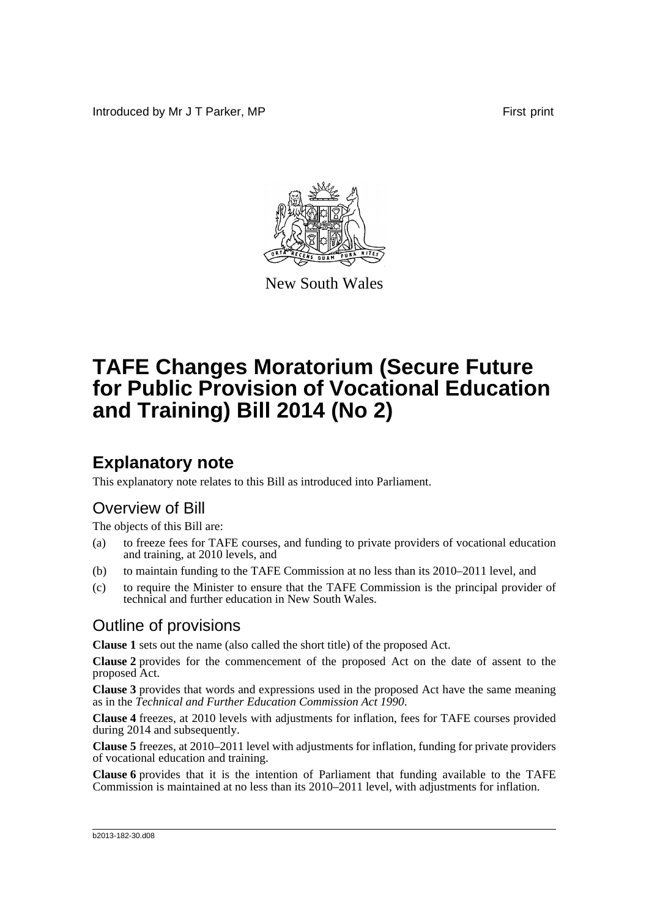Introduced by Mr J T Parker, MP **First** print



New South Wales

# **TAFE Changes Moratorium (Secure Future for Public Provision of Vocational Education and Training) Bill 2014 (No 2)**

## **Explanatory note**

This explanatory note relates to this Bill as introduced into Parliament.

#### Overview of Bill

The objects of this Bill are:

- (a) to freeze fees for TAFE courses, and funding to private providers of vocational education and training, at 2010 levels, and
- (b) to maintain funding to the TAFE Commission at no less than its 2010–2011 level, and
- (c) to require the Minister to ensure that the TAFE Commission is the principal provider of technical and further education in New South Wales.

#### Outline of provisions

**Clause 1** sets out the name (also called the short title) of the proposed Act.

**Clause 2** provides for the commencement of the proposed Act on the date of assent to the proposed Act.

**Clause 3** provides that words and expressions used in the proposed Act have the same meaning as in the *Technical and Further Education Commission Act 1990*.

**Clause 4** freezes, at 2010 levels with adjustments for inflation, fees for TAFE courses provided during 2014 and subsequently.

**Clause 5** freezes, at 2010–2011 level with adjustments for inflation, funding for private providers of vocational education and training.

**Clause 6** provides that it is the intention of Parliament that funding available to the TAFE Commission is maintained at no less than its 2010–2011 level, with adjustments for inflation.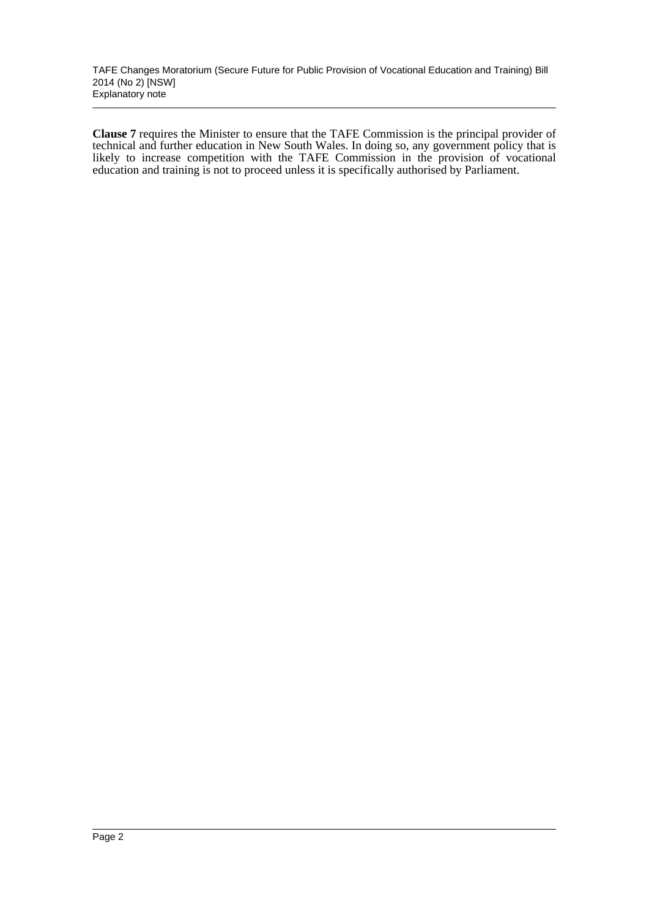**Clause 7** requires the Minister to ensure that the TAFE Commission is the principal provider of technical and further education in New South Wales. In doing so, any government policy that is likely to increase competition with the TAFE Commission in the provision of vocational education and training is not to proceed unless it is specifically authorised by Parliament.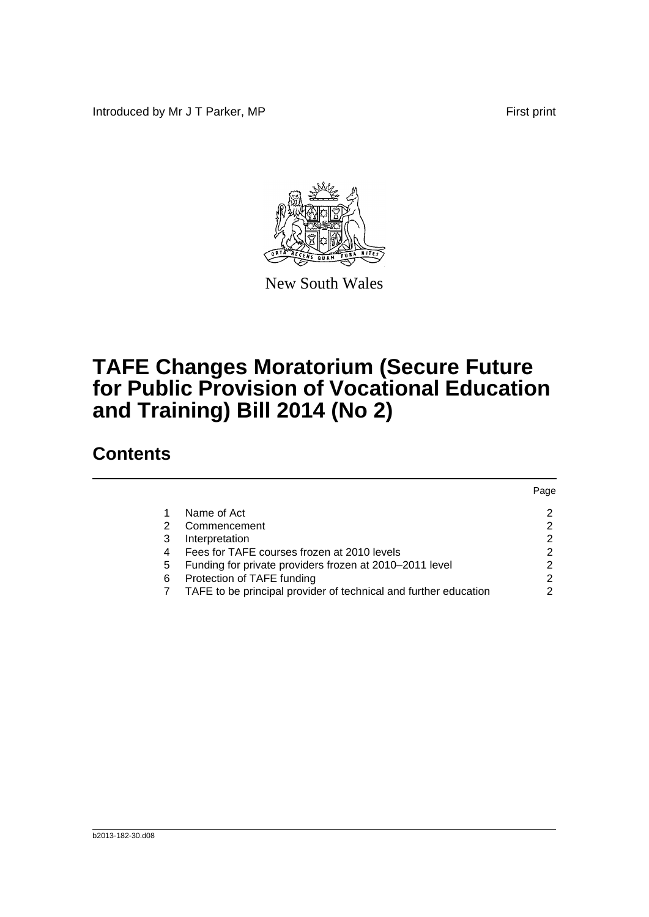Introduced by Mr J T Parker, MP First print



New South Wales

## **TAFE Changes Moratorium (Secure Future for Public Provision of Vocational Education and Training) Bill 2014 (No 2)**

### **Contents**

|                |                                                                  | Page |
|----------------|------------------------------------------------------------------|------|
|                | Name of Act                                                      | 2    |
| 2              | Commencement                                                     | 2    |
| 3              | Interpretation                                                   | 2    |
| $\overline{4}$ | Fees for TAFE courses frozen at 2010 levels                      | 2    |
| 5              | Funding for private providers frozen at 2010-2011 level          | 2    |
| 6              | Protection of TAFE funding                                       | 2    |
|                | TAFE to be principal provider of technical and further education | 2    |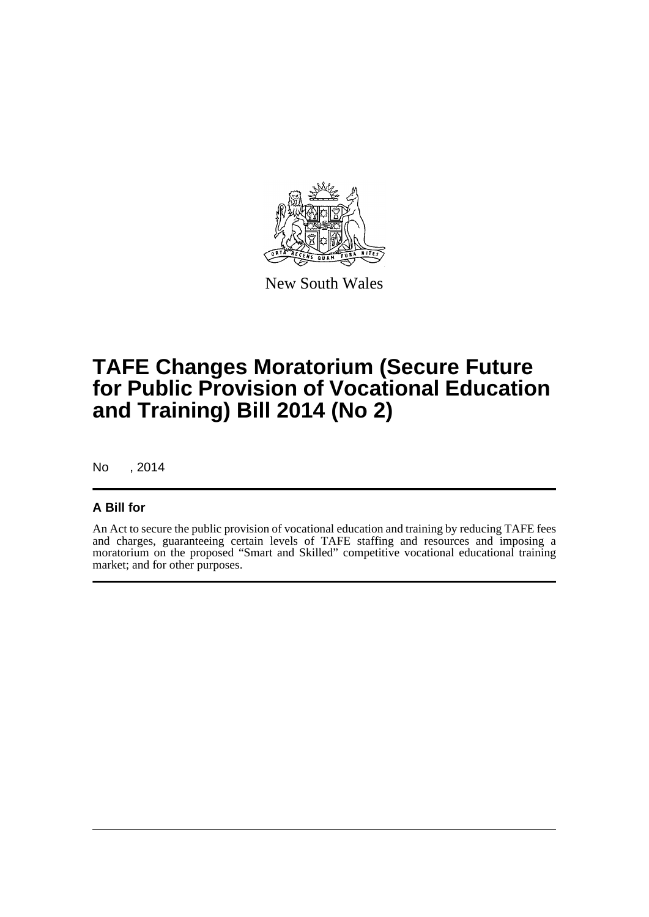

New South Wales

## **TAFE Changes Moratorium (Secure Future for Public Provision of Vocational Education and Training) Bill 2014 (No 2)**

No , 2014

#### **A Bill for**

An Act to secure the public provision of vocational education and training by reducing TAFE fees and charges, guaranteeing certain levels of TAFE staffing and resources and imposing a moratorium on the proposed "Smart and Skilled" competitive vocational educational training market; and for other purposes.